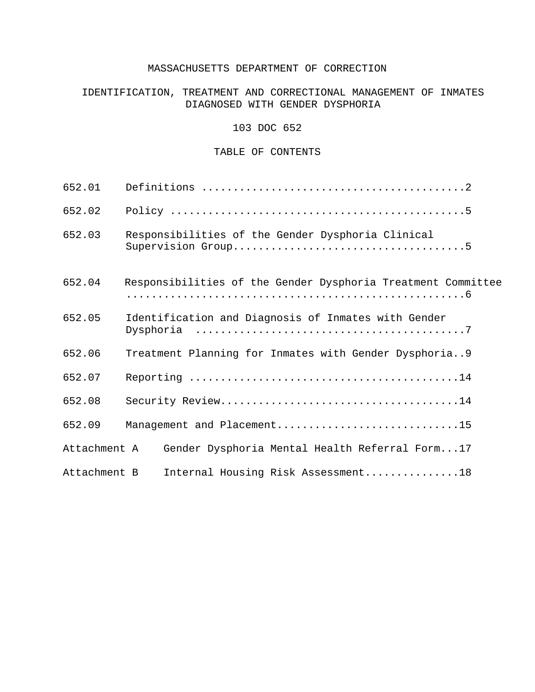## MASSACHUSETTS DEPARTMENT OF CORRECTION

# IDENTIFICATION, TREATMENT AND CORRECTIONAL MANAGEMENT OF INMATES DIAGNOSED WITH GENDER DYSPHORIA

#### 103 DOC 652

#### TABLE OF CONTENTS

| 652.01       |                                                              |
|--------------|--------------------------------------------------------------|
| 652.02       |                                                              |
| 652.03       | Responsibilities of the Gender Dysphoria Clinical            |
| 652.04       | Responsibilities of the Gender Dysphoria Treatment Committee |
| 652.05       | Identification and Diagnosis of Inmates with Gender          |
| 652.06       | Treatment Planning for Inmates with Gender Dysphoria9        |
| 652.07       |                                                              |
| 652.08       |                                                              |
| 652.09       | Management and Placement15                                   |
| Attachment A | Gender Dysphoria Mental Health Referral Form17               |
| Attachment B | Internal Housing Risk Assessment18                           |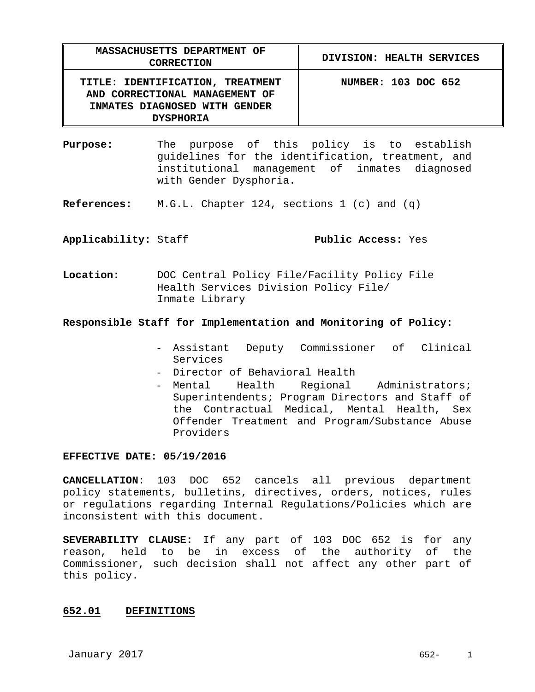| MASSACHUSETTS DEPARTMENT OF<br><b>CORRECTION</b>                                                                        | DIVISION: HEALTH SERVICES |
|-------------------------------------------------------------------------------------------------------------------------|---------------------------|
| TITLE: IDENTIFICATION, TREATMENT<br>AND CORRECTIONAL MANAGEMENT OF<br>INMATES DIAGNOSED WITH GENDER<br><b>DYSPHORIA</b> | NUMBER: 103 DOC 652       |

**Purpose:** The purpose of this policy is to establish guidelines for the identification, treatment, and institutional management of inmates diagnosed with Gender Dysphoria.

**References:** M.G.L. Chapter 124, sections 1 (c) and (q)

## **Applicability:** Staff **Public Access:** Yes

**Location:** DOC Central Policy File/Facility Policy File Health Services Division Policy File/ Inmate Library

#### **Responsible Staff for Implementation and Monitoring of Policy:**

- Assistant Deputy Commissioner of Clinical Services
- Director of Behavioral Health
- Mental Health Regional Administrators; Superintendents; Program Directors and Staff of the Contractual Medical, Mental Health, Sex Offender Treatment and Program/Substance Abuse Providers

#### **EFFECTIVE DATE: 05/19/2016**

**CANCELLATION**: 103 DOC 652 cancels all previous department policy statements, bulletins, directives, orders, notices, rules or regulations regarding Internal Regulations/Policies which are inconsistent with this document.

**SEVERABILITY CLAUSE:** If any part of 103 DOC 652 is for any reason, held to be in excess of the authority of the Commissioner, such decision shall not affect any other part of this policy.

#### **652.01 DEFINITIONS**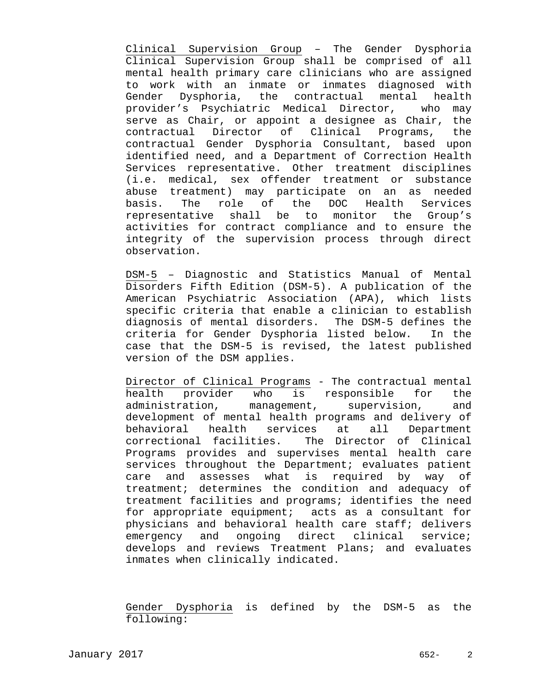Clinical Supervision Group – The Gender Dysphoria Clinical Supervision Group shall be comprised of all mental health primary care clinicians who are assigned to work with an inmate or inmates diagnosed with Gender Dysphoria, the contractual mental health provider's Psychiatric Medical Director, who may serve as Chair, or appoint a designee as Chair, the contractual Director of Clinical Programs, the contractual Gender Dysphoria Consultant, based upon identified need, and a Department of Correction Health Services representative. Other treatment disciplines (i.e. medical, sex offender treatment or substance abuse treatment) may participate on an as needed basis. The role of the DOC Health Services representative shall be to monitor the Group's activities for contract compliance and to ensure the integrity of the supervision process through direct observation.

DSM-5 – Diagnostic and Statistics Manual of Mental Disorders Fifth Edition (DSM-5). A publication of the American Psychiatric Association (APA), which lists specific criteria that enable a clinician to establish diagnosis of mental disorders. The DSM-5 defines the criteria for Gender Dysphoria listed below. In the case that the DSM-5 is revised, the latest published version of the DSM applies.

Director of Clinical Programs - The contractual mental health provider who is responsible for the administration, management, supervision, and development of mental health programs and delivery of behavioral health services at all Department correctional facilities. The Director of Clinical Programs provides and supervises mental health care services throughout the Department; evaluates patient care and assesses what is required by way of treatment; determines the condition and adequacy of treatment facilities and programs; identifies the need for appropriate equipment; acts as a consultant for physicians and behavioral health care staff; delivers emergency and ongoing direct clinical service; develops and reviews Treatment Plans; and evaluates inmates when clinically indicated.

Gender Dysphoria is defined by the DSM-5 as the following: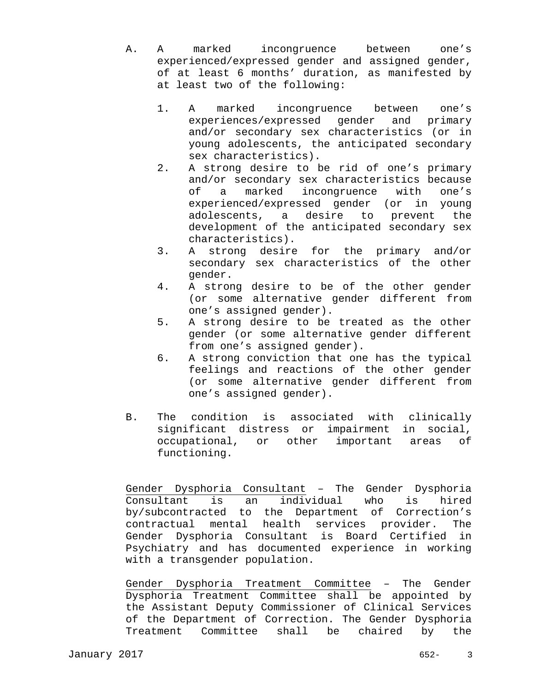- A. A marked incongruence between one's experienced/expressed gender and assigned gender, of at least 6 months' duration, as manifested by at least two of the following:
	- 1. A marked incongruence between one's experiences/expressed gender and primary and/or secondary sex characteristics (or in young adolescents, the anticipated secondary sex characteristics).
	- 2. A strong desire to be rid of one's primary and/or secondary sex characteristics because of a marked incongruence with one's experienced/expressed gender (or in young adolescents, a desire to prevent the development of the anticipated secondary sex characteristics).
	- 3. A strong desire for the primary and/or secondary sex characteristics of the other gender.
	- 4. A strong desire to be of the other gender (or some alternative gender different from one's assigned gender).
	- 5. A strong desire to be treated as the other gender (or some alternative gender different from one's assigned gender).
	- 6. A strong conviction that one has the typical feelings and reactions of the other gender (or some alternative gender different from one's assigned gender).
- B. The condition is associated with clinically significant distress or impairment in social, occupational, or other important areas of functioning.

Gender Dysphoria Consultant – The Gender Dysphoria Consultant is an individual who is hired by/subcontracted to the Department of Correction's contractual mental health services provider. The Gender Dysphoria Consultant is Board Certified in Psychiatry and has documented experience in working with a transgender population.

Gender Dysphoria Treatment Committee – The Gender Dysphoria Treatment Committee shall be appointed by the Assistant Deputy Commissioner of Clinical Services of the Department of Correction. The Gender Dysphoria Treatment Committee shall be chaired by the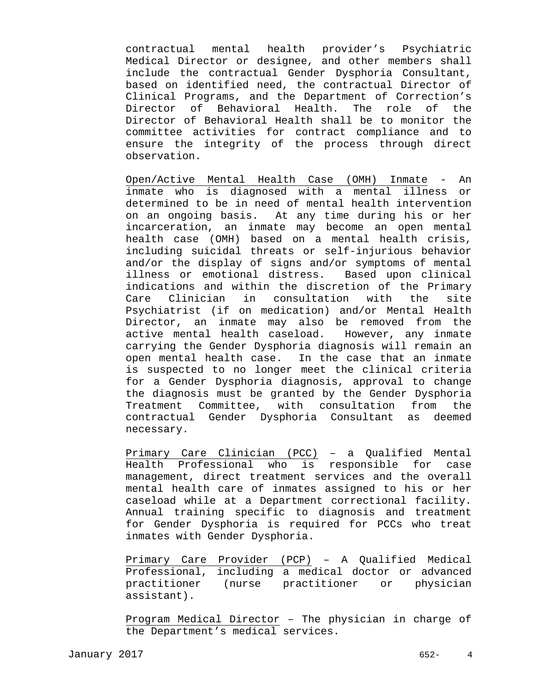contractual mental health provider's Psychiatric Medical Director or designee, and other members shall include the contractual Gender Dysphoria Consultant, based on identified need, the contractual Director of Clinical Programs, and the Department of Correction's Director of Behavioral Health. The role of the Director of Behavioral Health shall be to monitor the committee activities for contract compliance and to ensure the integrity of the process through direct observation.

Open/Active Mental Health Case (OMH) Inmate - An inmate who is diagnosed with a mental illness or determined to be in need of mental health intervention on an ongoing basis. At any time during his or her incarceration, an inmate may become an open mental health case (OMH) based on a mental health crisis, including suicidal threats or self-injurious behavior and/or the display of signs and/or symptoms of mental illness or emotional distress. Based upon clinical indications and within the discretion of the Primary Care Clinician in consultation with the site Psychiatrist (if on medication) and/or Mental Health Director, an inmate may also be removed from the active mental health caseload. However, any inmate carrying the Gender Dysphoria diagnosis will remain an open mental health case. In the case that an inmate is suspected to no longer meet the clinical criteria for a Gender Dysphoria diagnosis, approval to change the diagnosis must be granted by the Gender Dysphoria Treatment Committee, with consultation from the contractual Gender Dysphoria Consultant as deemed necessary.

Primary Care Clinician (PCC) – a Qualified Mental Health Professional who is responsible for case management, direct treatment services and the overall mental health care of inmates assigned to his or her caseload while at a Department correctional facility. Annual training specific to diagnosis and treatment for Gender Dysphoria is required for PCCs who treat inmates with Gender Dysphoria.

Primary Care Provider (PCP) – A Qualified Medical Professional, including a medical doctor or advanced practitioner (nurse practitioner or physician assistant).

Program Medical Director – The physician in charge of the Department's medical services.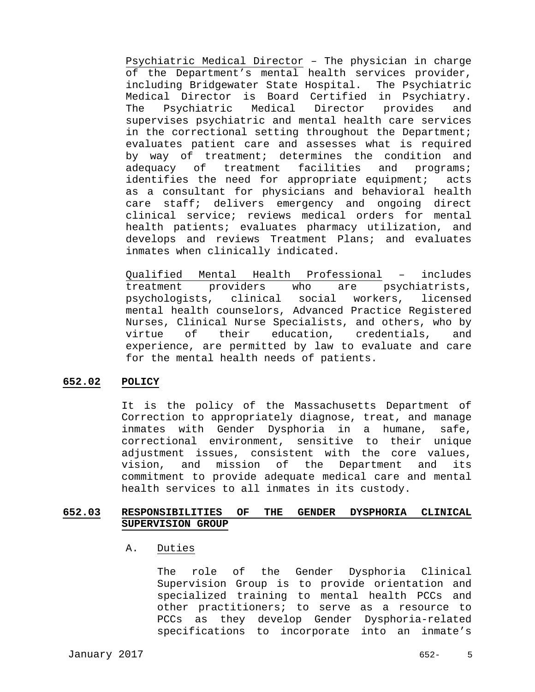Psychiatric Medical Director – The physician in charge of the Department's mental health services provider, including Bridgewater State Hospital. The Psychiatric Medical Director is Board Certified in Psychiatry. The Psychiatric Medical Director provides and supervises psychiatric and mental health care services in the correctional setting throughout the Department; evaluates patient care and assesses what is required by way of treatment; determines the condition and adequacy of treatment facilities and programs; identifies the need for appropriate equipment; acts as a consultant for physicians and behavioral health care staff; delivers emergency and ongoing direct clinical service; reviews medical orders for mental health patients; evaluates pharmacy utilization, and develops and reviews Treatment Plans; and evaluates inmates when clinically indicated.

Qualified Mental Health Professional – includes treatment providers who are psychiatrists, psychologists, clinical social workers, licensed mental health counselors, Advanced Practice Registered Nurses, Clinical Nurse Specialists, and others, who by virtue of their education, credentials, and experience, are permitted by law to evaluate and care for the mental health needs of patients.

#### **652.02 POLICY**

 It is the policy of the Massachusetts Department of Correction to appropriately diagnose, treat, and manage inmates with Gender Dysphoria in a humane, safe, correctional environment, sensitive to their unique adjustment issues, consistent with the core values, vision, and mission of the Department and its commitment to provide adequate medical care and mental health services to all inmates in its custody.

## **652.03 RESPONSIBILITIES OF THE GENDER DYSPHORIA CLINICAL SUPERVISION GROUP**

#### A. Duties

The role of the Gender Dysphoria Clinical Supervision Group is to provide orientation and specialized training to mental health PCCs and other practitioners; to serve as a resource to PCCs as they develop Gender Dysphoria-related specifications to incorporate into an inmate's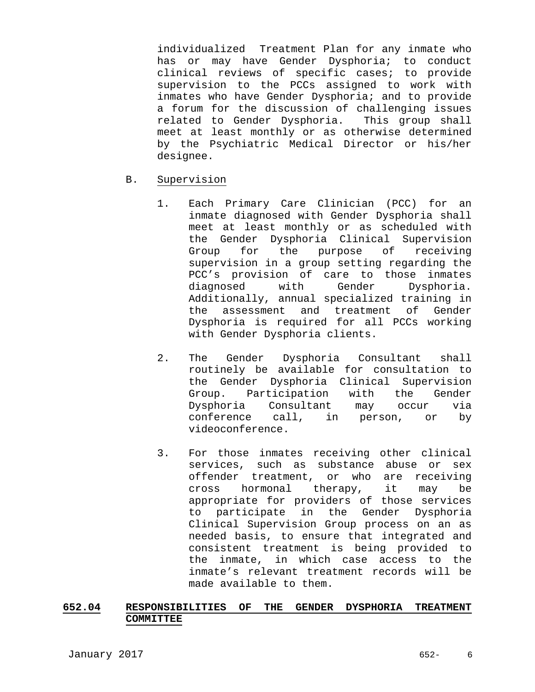individualized Treatment Plan for any inmate who has or may have Gender Dysphoria; to conduct clinical reviews of specific cases; to provide supervision to the PCCs assigned to work with inmates who have Gender Dysphoria; and to provide a forum for the discussion of challenging issues related to Gender Dysphoria. This group shall meet at least monthly or as otherwise determined by the Psychiatric Medical Director or his/her designee.

- B. Supervision
	- 1. Each Primary Care Clinician (PCC) for an inmate diagnosed with Gender Dysphoria shall meet at least monthly or as scheduled with the Gender Dysphoria Clinical Supervision Group for the purpose of receiving supervision in a group setting regarding the PCC's provision of care to those inmates diagnosed with Gender Dysphoria. Additionally, annual specialized training in the assessment and treatment of Gender Dysphoria is required for all PCCs working with Gender Dysphoria clients.
	- 2. The Gender Dysphoria Consultant shall routinely be available for consultation to the Gender Dysphoria Clinical Supervision Group. Participation with the Gender Dysphoria Consultant may occur via conference call, in person, or by videoconference.
	- 3. For those inmates receiving other clinical services, such as substance abuse or sex offender treatment, or who are receiving cross hormonal therapy, it may be appropriate for providers of those services to participate in the Gender Dysphoria Clinical Supervision Group process on an as needed basis, to ensure that integrated and consistent treatment is being provided to the inmate, in which case access to the inmate's relevant treatment records will be made available to them.

## **652.04 RESPONSIBILITIES OF THE GENDER DYSPHORIA TREATMENT COMMITTEE**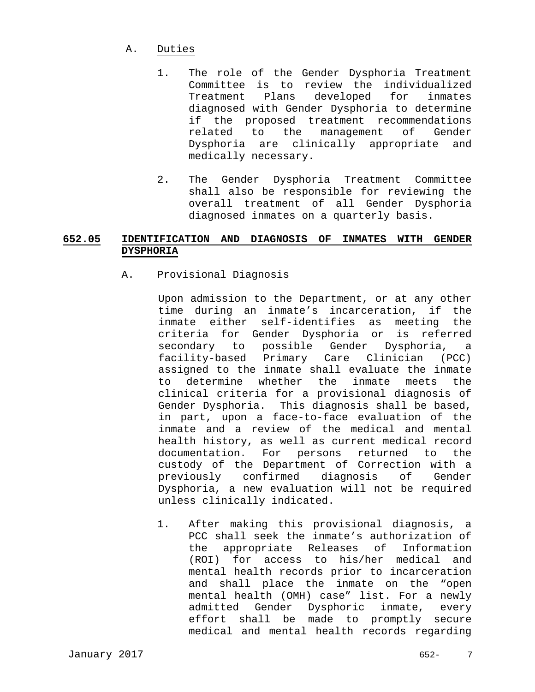- A. Duties
	- 1. The role of the Gender Dysphoria Treatment Committee is to review the individualized Treatment Plans developed for inmates diagnosed with Gender Dysphoria to determine if the proposed treatment recommendations related to the management of Gender Dysphoria are clinically appropriate and medically necessary.
	- 2. The Gender Dysphoria Treatment Committee shall also be responsible for reviewing the overall treatment of all Gender Dysphoria diagnosed inmates on a quarterly basis.

# **652.05 IDENTIFICATION AND DIAGNOSIS OF INMATES WITH GENDER DYSPHORIA**

A. Provisional Diagnosis

 Upon admission to the Department, or at any other time during an inmate's incarceration, if the inmate either self-identifies as meeting the criteria for Gender Dysphoria or is referred secondary to possible Gender Dysphoria, a facility-based Primary Care Clinician (PCC) assigned to the inmate shall evaluate the inmate to determine whether the inmate meets the clinical criteria for a provisional diagnosis of Gender Dysphoria. This diagnosis shall be based, in part, upon a face-to-face evaluation of the inmate and a review of the medical and mental health history, as well as current medical record documentation. For persons returned to the custody of the Department of Correction with a previously confirmed diagnosis of Gender Dysphoria, a new evaluation will not be required unless clinically indicated.

1. After making this provisional diagnosis, a PCC shall seek the inmate's authorization of the appropriate Releases of Information (ROI) for access to his/her medical and mental health records prior to incarceration and shall place the inmate on the "open mental health (OMH) case" list. For a newly admitted Gender Dysphoric inmate, every effort shall be made to promptly secure medical and mental health records regarding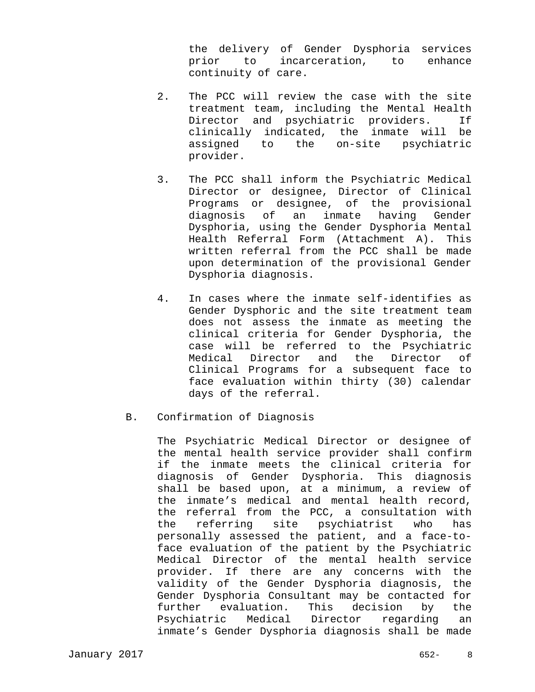the delivery of Gender Dysphoria services prior to incarceration, to enhance continuity of care.

- 2. The PCC will review the case with the site treatment team, including the Mental Health Director and psychiatric providers. If clinically indicated, the inmate will be assigned to the on-site psychiatric provider.
- 3. The PCC shall inform the Psychiatric Medical Director or designee, Director of Clinical Programs or designee, of the provisional diagnosis of an inmate having Gender Dysphoria, using the Gender Dysphoria Mental Health Referral Form (Attachment A). This written referral from the PCC shall be made upon determination of the provisional Gender Dysphoria diagnosis.
- 4. In cases where the inmate self-identifies as Gender Dysphoric and the site treatment team does not assess the inmate as meeting the clinical criteria for Gender Dysphoria, the case will be referred to the Psychiatric Medical Director and the Director of Clinical Programs for a subsequent face to face evaluation within thirty (30) calendar days of the referral.
- B. Confirmation of Diagnosis

The Psychiatric Medical Director or designee of the mental health service provider shall confirm if the inmate meets the clinical criteria for diagnosis of Gender Dysphoria. This diagnosis shall be based upon, at a minimum, a review of the inmate's medical and mental health record, the referral from the PCC, a consultation with the referring site psychiatrist who has personally assessed the patient, and a face-toface evaluation of the patient by the Psychiatric Medical Director of the mental health service provider. If there are any concerns with the validity of the Gender Dysphoria diagnosis, the Gender Dysphoria Consultant may be contacted for further evaluation. This decision by the Psychiatric Medical Director regarding an inmate's Gender Dysphoria diagnosis shall be made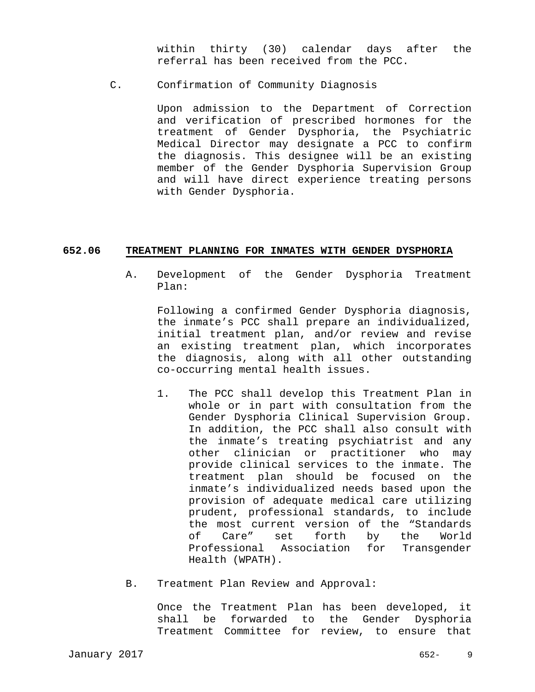within thirty (30) calendar days after the referral has been received from the PCC.

C. Confirmation of Community Diagnosis

Upon admission to the Department of Correction and verification of prescribed hormones for the treatment of Gender Dysphoria, the Psychiatric Medical Director may designate a PCC to confirm the diagnosis. This designee will be an existing member of the Gender Dysphoria Supervision Group and will have direct experience treating persons with Gender Dysphoria.

#### **652.06 TREATMENT PLANNING FOR INMATES WITH GENDER DYSPHORIA**

A. Development of the Gender Dysphoria Treatment Plan:

Following a confirmed Gender Dysphoria diagnosis, the inmate's PCC shall prepare an individualized, initial treatment plan, and/or review and revise an existing treatment plan, which incorporates the diagnosis, along with all other outstanding co-occurring mental health issues.

- 1. The PCC shall develop this Treatment Plan in whole or in part with consultation from the Gender Dysphoria Clinical Supervision Group. In addition, the PCC shall also consult with the inmate's treating psychiatrist and any other clinician or practitioner who may provide clinical services to the inmate. The treatment plan should be focused on the inmate's individualized needs based upon the provision of adequate medical care utilizing prudent, professional standards, to include the most current version of the "Standards of Care" set forth by the World Professional Association for Transgender Health (WPATH).
- B. Treatment Plan Review and Approval:

 Once the Treatment Plan has been developed, it shall be forwarded to the Gender Dysphoria Treatment Committee for review, to ensure that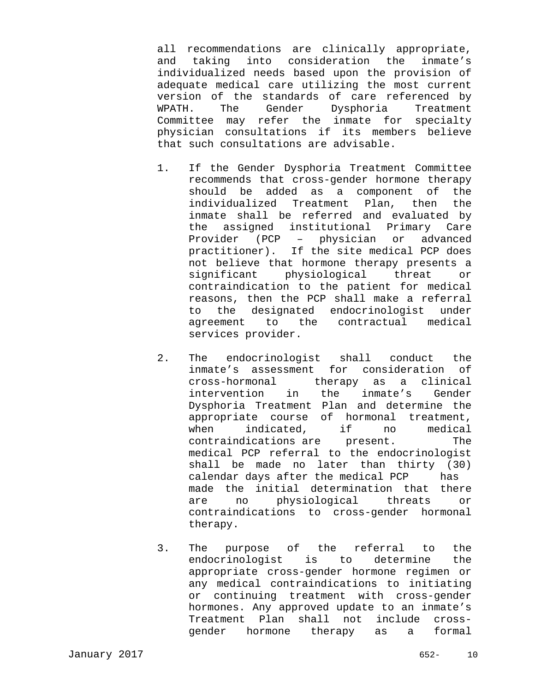all recommendations are clinically appropriate, and taking into consideration the inmate's individualized needs based upon the provision of adequate medical care utilizing the most current version of the standards of care referenced by WPATH. The Gender Dysphoria Treatment Committee may refer the inmate for specialty physician consultations if its members believe that such consultations are advisable.

- 1. If the Gender Dysphoria Treatment Committee recommends that cross-gender hormone therapy should be added as a component of the individualized Treatment Plan, then the inmate shall be referred and evaluated by the assigned institutional Primary Care Provider (PCP – physician or advanced practitioner). If the site medical PCP does not believe that hormone therapy presents a significant physiological threat or contraindication to the patient for medical reasons, then the PCP shall make a referral to the designated endocrinologist under agreement to the contractual medical services provider.
- 2. The endocrinologist shall conduct the inmate's assessment for consideration of cross-hormonal therapy as a clinical intervention in the inmate's Gender Dysphoria Treatment Plan and determine the appropriate course of hormonal treatment, when indicated, if no medical contraindications are present. The medical PCP referral to the endocrinologist shall be made no later than thirty (30) calendar days after the medical PCP has made the initial determination that there are no physiological threats or contraindications to cross-gender hormonal therapy.
- 3. The purpose of the referral to the endocrinologist is to determine the appropriate cross-gender hormone regimen or any medical contraindications to initiating or continuing treatment with cross-gender hormones. Any approved update to an inmate's Treatment Plan shall not include crossgender hormone therapy as a formal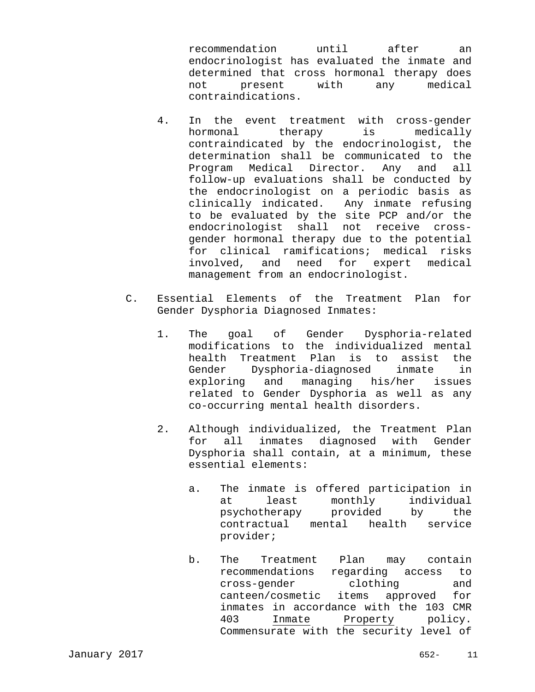recommendation until after an endocrinologist has evaluated the inmate and determined that cross hormonal therapy does not present with any medical contraindications.

- 4. In the event treatment with cross-gender hormonal therapy is medically contraindicated by the endocrinologist, the determination shall be communicated to the Program Medical Director. Any and all follow-up evaluations shall be conducted by the endocrinologist on a periodic basis as clinically indicated. Any inmate refusing to be evaluated by the site PCP and/or the endocrinologist shall not receive crossgender hormonal therapy due to the potential for clinical ramifications; medical risks involved, and need for expert medical management from an endocrinologist.
- C. Essential Elements of the Treatment Plan for Gender Dysphoria Diagnosed Inmates:
	- 1. The goal of Gender Dysphoria-related modifications to the individualized mental health Treatment Plan is to assist the Gender Dysphoria-diagnosed inmate in exploring and managing his/her issues related to Gender Dysphoria as well as any co-occurring mental health disorders.
	- 2. Although individualized, the Treatment Plan for all inmates diagnosed with Gender Dysphoria shall contain, at a minimum, these essential elements:
		- a. The inmate is offered participation in at least monthly individual psychotherapy provided by the contractual mental health service provider;
		- b. The Treatment Plan may contain recommendations regarding access to cross-gender clothing and canteen/cosmetic items approved for inmates in accordance with the 103 CMR 403 Inmate Property policy. Commensurate with the security level of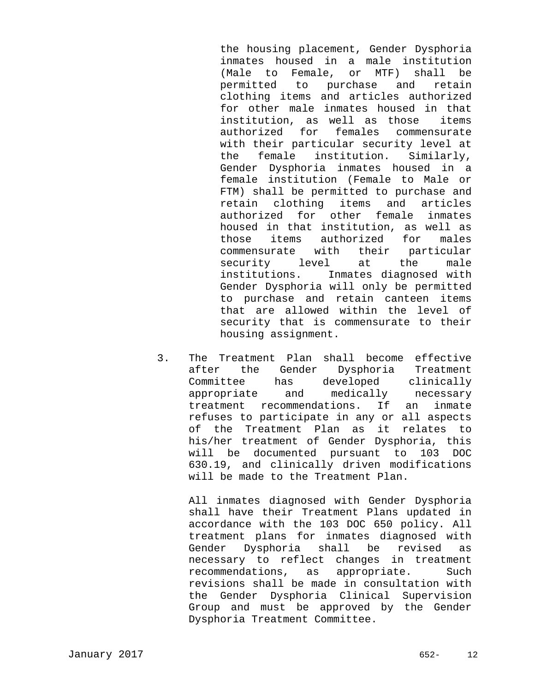the housing placement, Gender Dysphoria inmates housed in a male institution (Male to Female, or MTF) shall be permitted to purchase and retain clothing items and articles authorized for other male inmates housed in that institution, as well as those items authorized for females commensurate with their particular security level at the female institution. Similarly, Gender Dysphoria inmates housed in a female institution (Female to Male or FTM) shall be permitted to purchase and retain clothing items and articles authorized for other female inmates housed in that institution, as well as those items authorized for males commensurate with their particular security level at the male institutions. Inmates diagnosed with Gender Dysphoria will only be permitted to purchase and retain canteen items that are allowed within the level of security that is commensurate to their housing assignment.

 3. The Treatment Plan shall become effective after the Gender Dysphoria Treatment Committee has developed clinically appropriate and medically necessary treatment recommendations. If an inmate refuses to participate in any or all aspects of the Treatment Plan as it relates to his/her treatment of Gender Dysphoria, this will be documented pursuant to 103 DOC 630.19, and clinically driven modifications will be made to the Treatment Plan.

All inmates diagnosed with Gender Dysphoria shall have their Treatment Plans updated in accordance with the 103 DOC 650 policy. All treatment plans for inmates diagnosed with Gender Dysphoria shall be revised as necessary to reflect changes in treatment recommendations, as appropriate. Such revisions shall be made in consultation with the Gender Dysphoria Clinical Supervision Group and must be approved by the Gender Dysphoria Treatment Committee.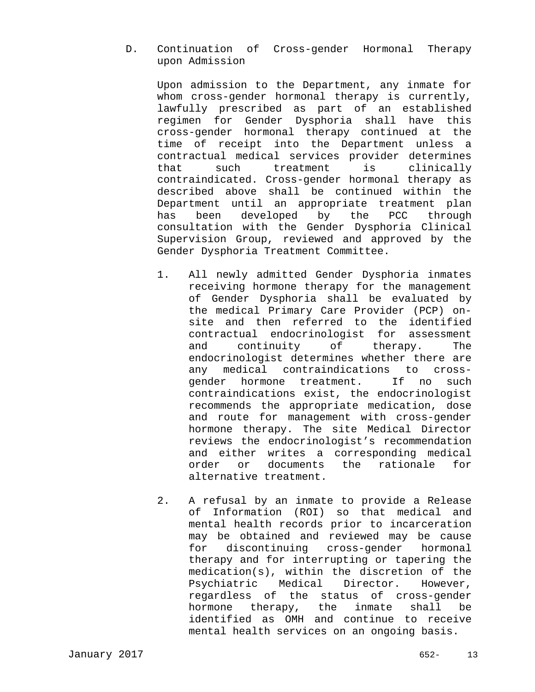D. Continuation of Cross-gender Hormonal Therapy upon Admission

 Upon admission to the Department, any inmate for whom cross-gender hormonal therapy is currently, lawfully prescribed as part of an established regimen for Gender Dysphoria shall have this cross-gender hormonal therapy continued at the time of receipt into the Department unless a contractual medical services provider determines that such treatment is clinically contraindicated. Cross-gender hormonal therapy as described above shall be continued within the Department until an appropriate treatment plan has been developed by the PCC through consultation with the Gender Dysphoria Clinical Supervision Group, reviewed and approved by the Gender Dysphoria Treatment Committee.

- 1. All newly admitted Gender Dysphoria inmates receiving hormone therapy for the management of Gender Dysphoria shall be evaluated by the medical Primary Care Provider (PCP) onsite and then referred to the identified contractual endocrinologist for assessment and continuity of therapy. The endocrinologist determines whether there are any medical contraindications to crossgender hormone treatment. If no such contraindications exist, the endocrinologist recommends the appropriate medication, dose and route for management with cross-gender hormone therapy. The site Medical Director reviews the endocrinologist's recommendation and either writes a corresponding medical order or documents the rationale for alternative treatment.
- 2. A refusal by an inmate to provide a Release of Information (ROI) so that medical and mental health records prior to incarceration may be obtained and reviewed may be cause for discontinuing cross-gender hormonal therapy and for interrupting or tapering the medication(s), within the discretion of the Psychiatric Medical Director. However, regardless of the status of cross-gender hormone therapy, the inmate shall be identified as OMH and continue to receive mental health services on an ongoing basis.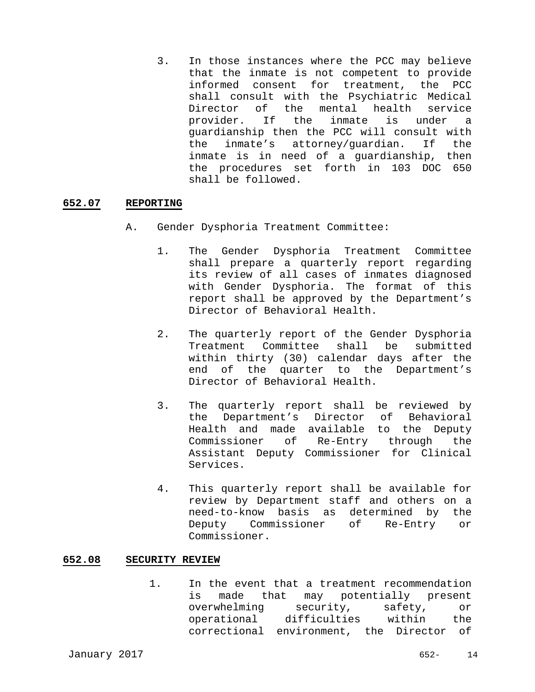3. In those instances where the PCC may believe that the inmate is not competent to provide informed consent for treatment, the PCC shall consult with the Psychiatric Medical Director of the mental health service provider. If the inmate is under a guardianship then the PCC will consult with the inmate's attorney/guardian. If the inmate is in need of a guardianship, then the procedures set forth in 103 DOC 650 shall be followed.

## **652.07 REPORTING**

- A. Gender Dysphoria Treatment Committee:
	- 1. The Gender Dysphoria Treatment Committee shall prepare a quarterly report regarding its review of all cases of inmates diagnosed with Gender Dysphoria. The format of this report shall be approved by the Department's Director of Behavioral Health.
	- 2. The quarterly report of the Gender Dysphoria Treatment Committee shall be submitted within thirty (30) calendar days after the end of the quarter to the Department's Director of Behavioral Health.
	- 3. The quarterly report shall be reviewed by the Department's Director of Behavioral Health and made available to the Deputy Commissioner of Re-Entry through the Assistant Deputy Commissioner for Clinical Services.
	- 4. This quarterly report shall be available for review by Department staff and others on a need-to-know basis as determined by the Deputy Commissioner of Re-Entry or Commissioner.

#### **652.08 SECURITY REVIEW**

1. In the event that a treatment recommendation is made that may potentially present overwhelming security, safety, or operational difficulties within the correctional environment, the Director of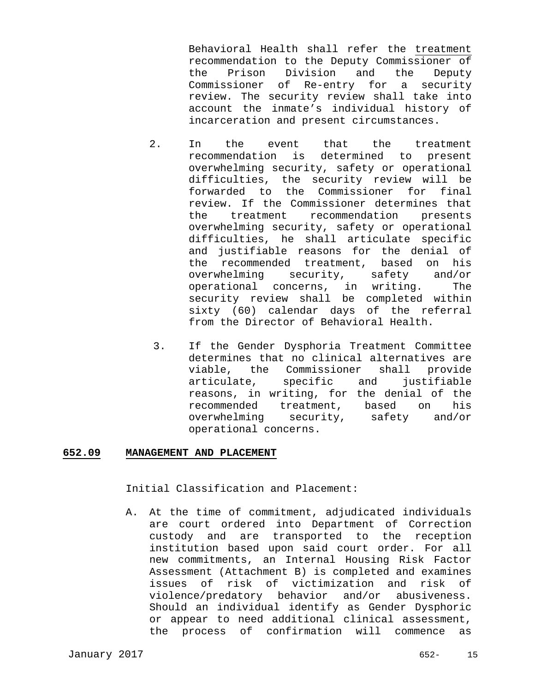Behavioral Health shall refer the treatment recommendation to the Deputy Commissioner of the Prison Division and the Deputy Commissioner of Re-entry for a security review. The security review shall take into account the inmate's individual history of incarceration and present circumstances.

- 2. In the event that the treatment recommendation is determined to present overwhelming security, safety or operational difficulties, the security review will be forwarded to the Commissioner for final review. If the Commissioner determines that the treatment recommendation presents overwhelming security, safety or operational difficulties, he shall articulate specific and justifiable reasons for the denial of the recommended treatment, based on his overwhelming security, safety and/or operational concerns, in writing. The security review shall be completed within sixty (60) calendar days of the referral from the Director of Behavioral Health.
	- 3. If the Gender Dysphoria Treatment Committee determines that no clinical alternatives are viable, the Commissioner shall provide articulate, specific and justifiable reasons, in writing, for the denial of the recommended treatment, based on his overwhelming security, safety and/or operational concerns.

#### **652.09 MANAGEMENT AND PLACEMENT**

Initial Classification and Placement:

A. At the time of commitment, adjudicated individuals are court ordered into Department of Correction custody and are transported to the reception institution based upon said court order. For all new commitments, an Internal Housing Risk Factor Assessment (Attachment B) is completed and examines issues of risk of victimization and risk of violence/predatory behavior and/or abusiveness. Should an individual identify as Gender Dysphoric or appear to need additional clinical assessment, the process of confirmation will commence as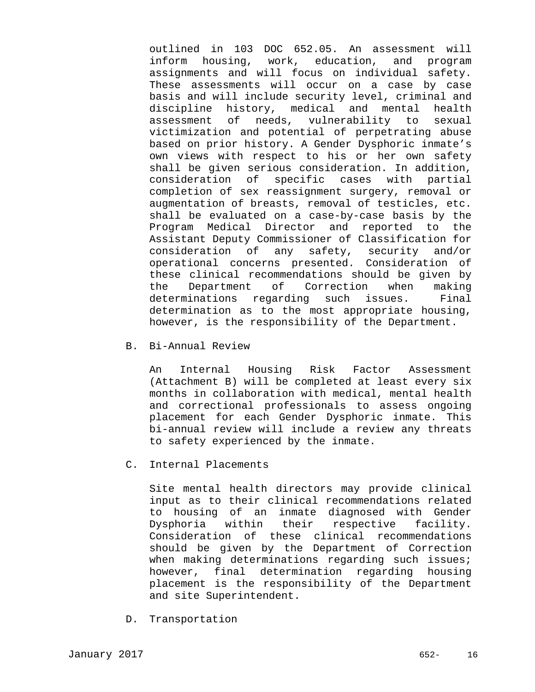outlined in 103 DOC 652.05. An assessment will inform housing, work, education, and program assignments and will focus on individual safety. These assessments will occur on a case by case basis and will include security level, criminal and discipline history, medical and mental health assessment of needs, vulnerability to sexual victimization and potential of perpetrating abuse based on prior history. A Gender Dysphoric inmate's own views with respect to his or her own safety shall be given serious consideration. In addition, consideration of specific cases with partial completion of sex reassignment surgery, removal or augmentation of breasts, removal of testicles, etc. shall be evaluated on a case-by-case basis by the Program Medical Director and reported to the Assistant Deputy Commissioner of Classification for consideration of any safety, security and/or operational concerns presented. Consideration of these clinical recommendations should be given by the Department of Correction when making determinations regarding such issues. Final determination as to the most appropriate housing, however, is the responsibility of the Department.

#### B. Bi-Annual Review

An Internal Housing Risk Factor Assessment (Attachment B) will be completed at least every six months in collaboration with medical, mental health and correctional professionals to assess ongoing placement for each Gender Dysphoric inmate. This bi-annual review will include a review any threats to safety experienced by the inmate.

#### C. Internal Placements

Site mental health directors may provide clinical input as to their clinical recommendations related to housing of an inmate diagnosed with Gender Dysphoria within their respective facility. Consideration of these clinical recommendations should be given by the Department of Correction when making determinations regarding such issues; however, final determination regarding housing placement is the responsibility of the Department and site Superintendent.

D. Transportation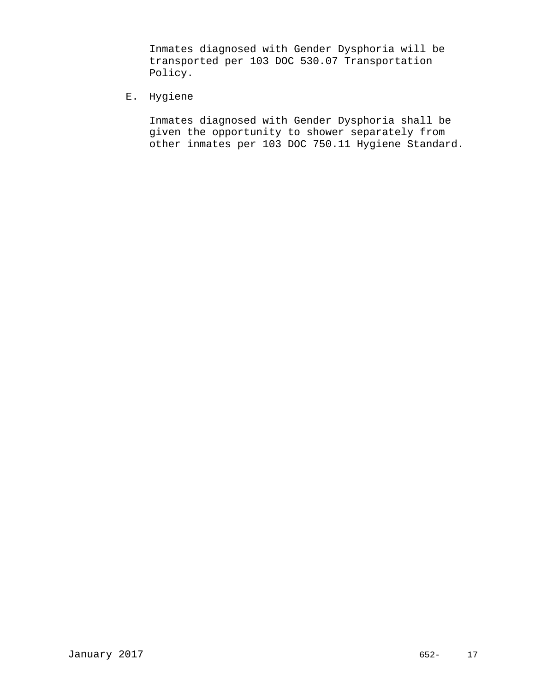Inmates diagnosed with Gender Dysphoria will be transported per 103 DOC 530.07 Transportation Policy.

E. Hygiene

Inmates diagnosed with Gender Dysphoria shall be given the opportunity to shower separately from other inmates per 103 DOC 750.11 Hygiene Standard.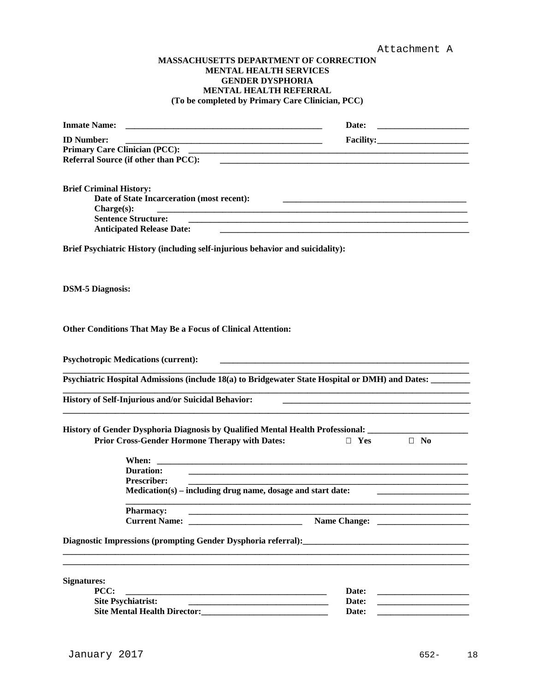#### **MASSACHUSETTS DEPARTMENT OF CORRECTION MENTAL HEALTH SERVICES GENDER DYSPHORIA MENTAL HEALTH REFERRAL (To be completed by Primary Care Clinician, PCC)**

| <b>Inmate Name:</b>                                                                                      | Date:                                                                                                                 |                                                   |
|----------------------------------------------------------------------------------------------------------|-----------------------------------------------------------------------------------------------------------------------|---------------------------------------------------|
| <b>ID Number:</b>                                                                                        |                                                                                                                       |                                                   |
|                                                                                                          |                                                                                                                       |                                                   |
| Referral Source (if other than PCC):<br><u> 1980 - John Stone, Amerikaansk politiker († 1980)</u>        |                                                                                                                       |                                                   |
| <b>Brief Criminal History:</b>                                                                           |                                                                                                                       |                                                   |
| Date of State Incarceration (most recent):                                                               | <u> 1989 - Johann Barn, mars ann an t-Amhainn an t-Amhainn an t-Amhainn an t-Amhainn an t-Amhainn an t-Amhainn an</u> |                                                   |
| Change(s):                                                                                               |                                                                                                                       |                                                   |
| <b>Sentence Structure:</b>                                                                               |                                                                                                                       |                                                   |
| <b>Anticipated Release Date:</b>                                                                         |                                                                                                                       |                                                   |
| Brief Psychiatric History (including self-injurious behavior and suicidality):                           |                                                                                                                       |                                                   |
| <b>DSM-5 Diagnosis:</b>                                                                                  |                                                                                                                       |                                                   |
| <b>Other Conditions That May Be a Focus of Clinical Attention:</b>                                       |                                                                                                                       |                                                   |
| <b>Psychotropic Medications (current):</b>                                                               |                                                                                                                       |                                                   |
| Psychiatric Hospital Admissions (include 18(a) to Bridgewater State Hospital or DMH) and Dates: ________ |                                                                                                                       |                                                   |
| <b>History of Self-Injurious and/or Suicidal Behavior:</b>                                               |                                                                                                                       |                                                   |
| History of Gender Dysphoria Diagnosis by Qualified Mental Health Professional: _______                   |                                                                                                                       |                                                   |
| <b>Prior Cross-Gender Hormone Therapy with Dates:</b>                                                    | $\Box$ Yes                                                                                                            | $\Box$ No                                         |
| When:                                                                                                    |                                                                                                                       |                                                   |
| <b>Duration:</b>                                                                                         |                                                                                                                       |                                                   |
| <b>Prescriber:</b>                                                                                       |                                                                                                                       |                                                   |
| $Medication(s) - including drug name, dosage and start date:$                                            |                                                                                                                       |                                                   |
| <b>Pharmacy:</b>                                                                                         |                                                                                                                       |                                                   |
| <b>Current Name:</b> The Current Name:                                                                   |                                                                                                                       |                                                   |
|                                                                                                          |                                                                                                                       |                                                   |
|                                                                                                          |                                                                                                                       |                                                   |
| <b>Signatures:</b>                                                                                       |                                                                                                                       |                                                   |
| PCC:                                                                                                     | Date:                                                                                                                 | <u> 1989 - Johann Barbara, martin amerikan ba</u> |
| <b>Site Psychiatrist:</b><br><u> 1980 - Johann Barbara, margaret eta idazlea (h. 1980).</u>              | Date:<br>Date:                                                                                                        |                                                   |
|                                                                                                          |                                                                                                                       |                                                   |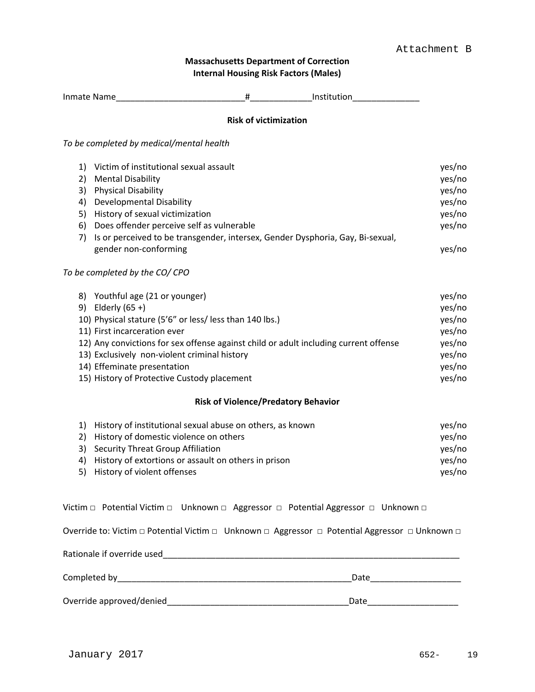# **Massachusetts Department of Correction Internal Housing Risk Factors (Males)**

| Inmate Name____________________                                                                | #                            | <b>Example 11 Institution</b>              |        |
|------------------------------------------------------------------------------------------------|------------------------------|--------------------------------------------|--------|
|                                                                                                | <b>Risk of victimization</b> |                                            |        |
| To be completed by medical/mental health                                                       |                              |                                            |        |
| Victim of institutional sexual assault<br>1)                                                   |                              |                                            | yes/no |
| <b>Mental Disability</b><br>2)                                                                 |                              |                                            | yes/no |
| 3)<br><b>Physical Disability</b>                                                               |                              |                                            | yes/no |
| 4)<br><b>Developmental Disability</b>                                                          |                              |                                            | yes/no |
| History of sexual victimization<br>5)                                                          |                              |                                            | yes/no |
| Does offender perceive self as vulnerable<br>6)                                                |                              |                                            | yes/no |
| Is or perceived to be transgender, intersex, Gender Dysphoria, Gay, Bi-sexual,<br>7)           |                              |                                            |        |
| gender non-conforming                                                                          |                              |                                            | yes/no |
| To be completed by the CO/CPO                                                                  |                              |                                            |        |
| Youthful age (21 or younger)<br>8)                                                             |                              |                                            | yes/no |
| Elderly $(65 +)$<br>9)                                                                         |                              |                                            | yes/no |
| 10) Physical stature (5'6" or less/ less than 140 lbs.)                                        |                              |                                            | yes/no |
| 11) First incarceration ever                                                                   |                              |                                            | yes/no |
| 12) Any convictions for sex offense against child or adult including current offense           |                              |                                            | yes/no |
| 13) Exclusively non-violent criminal history                                                   |                              |                                            | yes/no |
| 14) Effeminate presentation                                                                    |                              |                                            | yes/no |
| 15) History of Protective Custody placement                                                    |                              |                                            | yes/no |
|                                                                                                |                              | <b>Risk of Violence/Predatory Behavior</b> |        |
| History of institutional sexual abuse on others, as known<br>1)                                |                              |                                            | yes/no |
| History of domestic violence on others<br>2)                                                   |                              |                                            | yes/no |
| 3)<br><b>Security Threat Group Affiliation</b>                                                 |                              |                                            | yes/no |
| 4)<br>History of extortions or assault on others in prison                                     |                              |                                            | yes/no |
| 5)<br>History of violent offenses                                                              |                              |                                            | yes/no |
| Victim □ Potential Victim □ Unknown □ Aggressor □ Potential Aggressor □ Unknown □              |                              |                                            |        |
|                                                                                                |                              |                                            |        |
| Override to: Victim □ Potential Victim □ Unknown □ Aggressor □ Potential Aggressor □ Unknown □ |                              |                                            |        |
| Rationale if override used                                                                     |                              |                                            |        |

Completed by\_\_\_\_\_\_\_\_\_\_\_\_\_\_\_\_\_\_\_\_\_\_\_\_\_\_\_\_\_\_\_\_\_\_\_\_\_\_\_\_\_\_\_\_\_\_\_\_\_Date\_\_\_\_\_\_\_\_\_\_\_\_\_\_\_\_\_\_\_

Override approved/denied\_\_\_\_\_\_\_\_\_\_\_\_\_\_\_\_\_\_\_\_\_\_\_\_\_\_\_\_\_\_\_\_\_\_\_\_\_\_Date\_\_\_\_\_\_\_\_\_\_\_\_\_\_\_\_\_\_\_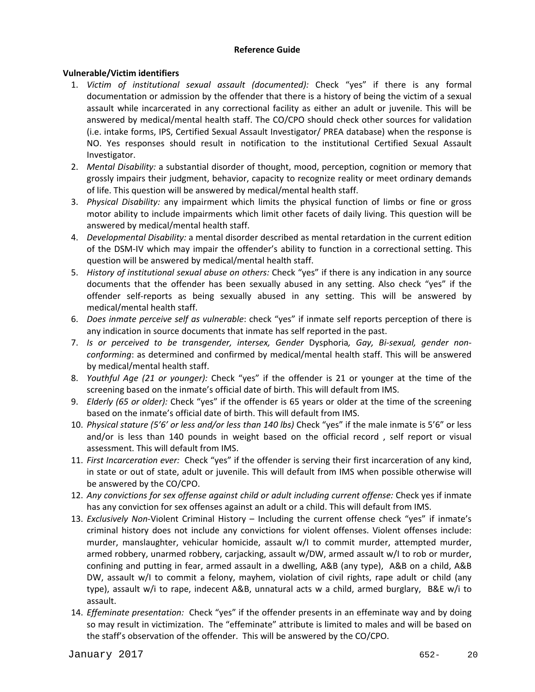## **Reference Guide**

# **Vulnerable/Victim identifiers**

- 1. *Victim of institutional sexual assault (documented):* Check "yes" if there is any formal documentation or admission by the offender that there is a history of being the victim of a sexual assault while incarcerated in any correctional facility as either an adult or juvenile. This will be answered by medical/mental health staff. The CO/CPO should check other sources for validation (i.e. intake forms, IPS, Certified Sexual Assault Investigator/ PREA database) when the response is NO. Yes responses should result in notification to the institutional Certified Sexual Assault Investigator.
- 2. *Mental Disability:* a substantial disorder of thought, mood, perception, cognition or memory that grossly impairs their judgment, behavior, capacity to recognize reality or meet ordinary demands of life. This question will be answered by medical/mental health staff.
- 3. *Physical Disability:* any impairment which limits the physical function of limbs or fine or gross motor ability to include impairments which limit other facets of daily living. This question will be answered by medical/mental health staff.
- 4. *Developmental Disability:* a mental disorder described as mental retardation in the current edition of the DSM‐IV which may impair the offender's ability to function in a correctional setting. This question will be answered by medical/mental health staff.
- 5. *History of institutional sexual abuse on others:* Check "yes" if there is any indication in any source documents that the offender has been sexually abused in any setting. Also check "yes" if the offender self‐reports as being sexually abused in any setting. This will be answered by medical/mental health staff.
- 6. *Does inmate perceive self as vulnerable*: check "yes" if inmate self reports perception of there is any indication in source documents that inmate has self reported in the past.
- 7. *Is or perceived to be transgender, intersex, Gender* Dysphoria*, Gay, Bi‐sexual, gender non‐ conforming*: as determined and confirmed by medical/mental health staff. This will be answered by medical/mental health staff.
- 8. *Youthful Age (21 or younger):* Check "yes" if the offender is 21 or younger at the time of the screening based on the inmate's official date of birth. This will default from IMS.
- 9. *Elderly (65 or older):* Check "yes" if the offender is 65 years or older at the time of the screening based on the inmate's official date of birth. This will default from IMS.
- 10. *Physical stature (5'6' or less and/or less than 140 lbs)* Check "yes" if the male inmate is 5'6" or less and/or is less than 140 pounds in weight based on the official record , self report or visual assessment. This will default from IMS.
- 11. *First Incarceration ever:* Check "yes" if the offender is serving their first incarceration of any kind, in state or out of state, adult or juvenile. This will default from IMS when possible otherwise will be answered by the CO/CPO.
- 12. *Any convictions for sex offense against child or adult including current offense:* Check yes if inmate has any conviction for sex offenses against an adult or a child. This will default from IMS.
- 13. *Exclusively Non*‐Violent Criminal History Including the current offense check "yes" if inmate's criminal history does not include any convictions for violent offenses. Violent offenses include: murder, manslaughter, vehicular homicide, assault w/I to commit murder, attempted murder, armed robbery, unarmed robbery, carjacking, assault w/DW, armed assault w/I to rob or murder, confining and putting in fear, armed assault in a dwelling, A&B (any type), A&B on a child, A&B DW, assault w/I to commit a felony, mayhem, violation of civil rights, rape adult or child (any type), assault w/i to rape, indecent A&B, unnatural acts w a child, armed burglary, B&E w/i to assault.
- 14. *Effeminate presentation:* Check "yes" if the offender presents in an effeminate way and by doing so may result in victimization. The "effeminate" attribute is limited to males and will be based on the staff's observation of the offender. This will be answered by the CO/CPO.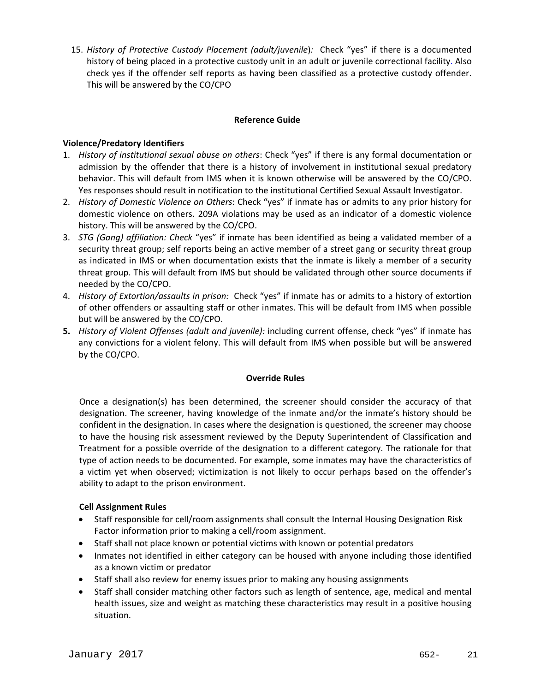15. *History of Protective Custody Placement (adult/juvenile*)*:* Check "yes" if there is a documented history of being placed in a protective custody unit in an adult or juvenile correctional facility. Also check yes if the offender self reports as having been classified as a protective custody offender. This will be answered by the CO/CPO

## **Reference Guide**

## **Violence/Predatory Identifiers**

- 1. *History of institutional sexual abuse on others*: Check "yes" if there is any formal documentation or admission by the offender that there is a history of involvement in institutional sexual predatory behavior. This will default from IMS when it is known otherwise will be answered by the CO/CPO. Yes responses should result in notification to the institutional Certified Sexual Assault Investigator.
- 2. *History of Domestic Violence on Others*: Check "yes" if inmate has or admits to any prior history for domestic violence on others. 209A violations may be used as an indicator of a domestic violence history. This will be answered by the CO/CPO.
- 3. *STG (Gang) affiliation: Check* "yes" if inmate has been identified as being a validated member of a security threat group; self reports being an active member of a street gang or security threat group as indicated in IMS or when documentation exists that the inmate is likely a member of a security threat group. This will default from IMS but should be validated through other source documents if needed by the CO/CPO.
- 4. *History of Extortion/assaults in prison:* Check "yes" if inmate has or admits to a history of extortion of other offenders or assaulting staff or other inmates. This will be default from IMS when possible but will be answered by the CO/CPO.
- **5.** *History of Violent Offenses (adult and juvenile):* including current offense, check "yes" if inmate has any convictions for a violent felony. This will default from IMS when possible but will be answered by the CO/CPO.

#### **Override Rules**

Once a designation(s) has been determined, the screener should consider the accuracy of that designation. The screener, having knowledge of the inmate and/or the inmate's history should be confident in the designation. In cases where the designation is questioned, the screener may choose to have the housing risk assessment reviewed by the Deputy Superintendent of Classification and Treatment for a possible override of the designation to a different category. The rationale for that type of action needs to be documented. For example, some inmates may have the characteristics of a victim yet when observed; victimization is not likely to occur perhaps based on the offender's ability to adapt to the prison environment.

## **Cell Assignment Rules**

- Staff responsible for cell/room assignments shall consult the Internal Housing Designation Risk Factor information prior to making a cell/room assignment.
- Staff shall not place known or potential victims with known or potential predators
- Inmates not identified in either category can be housed with anyone including those identified as a known victim or predator
- Staff shall also review for enemy issues prior to making any housing assignments
- Staff shall consider matching other factors such as length of sentence, age, medical and mental health issues, size and weight as matching these characteristics may result in a positive housing situation.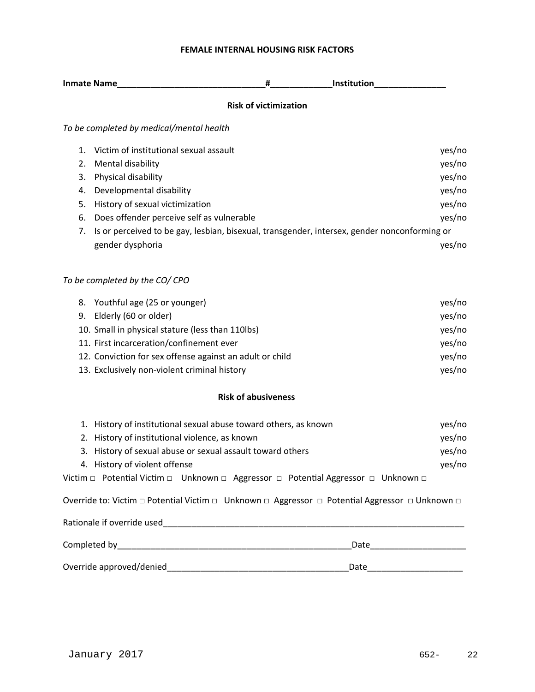# **FEMALE INTERNAL HOUSING RISK FACTORS**

|    | <b>Inmate Name</b>                                                                           | #                            | <b>Institution</b> |        |
|----|----------------------------------------------------------------------------------------------|------------------------------|--------------------|--------|
|    |                                                                                              | <b>Risk of victimization</b> |                    |        |
|    | To be completed by medical/mental health                                                     |                              |                    |        |
|    | Victim of institutional sexual assault                                                       |                              |                    | yes/no |
| 2. | Mental disability                                                                            |                              |                    | yes/no |
| 3. | Physical disability                                                                          |                              |                    | yes/no |
| 4. | Developmental disability                                                                     |                              |                    | yes/no |
| 5. | History of sexual victimization                                                              |                              |                    | yes/no |
| 6. | Does offender perceive self as vulnerable                                                    |                              |                    | yes/no |
| 7. | Is or perceived to be gay, lesbian, bisexual, transgender, intersex, gender nonconforming or |                              |                    |        |
|    | gender dysphoria                                                                             |                              |                    | yes/no |
|    |                                                                                              |                              |                    |        |
|    |                                                                                              |                              |                    |        |

# *To be completed by the CO/ CPO*

| 8. Youthful age (25 or younger)                          | yes/no |
|----------------------------------------------------------|--------|
| 9. Elderly (60 or older)                                 | yes/no |
| 10. Small in physical stature (less than 110lbs)         | yes/no |
| 11. First incarceration/confinement ever                 | yes/no |
| 12. Conviction for sex offense against an adult or child | yes/no |
| 13. Exclusively non-violent criminal history             | yes/no |

## **Risk of abusiveness**

| 1. History of institutional sexual abuse toward others, as known                                                | yes/no |
|-----------------------------------------------------------------------------------------------------------------|--------|
| 2. History of institutional violence, as known                                                                  | yes/no |
| 3. History of sexual abuse or sexual assault toward others                                                      | yes/no |
| 4. History of violent offense                                                                                   | yes/no |
| Victim $\Box$ Potential Victim $\Box$ Unknown $\Box$ Aggressor $\Box$ Potential Aggressor $\Box$ Unknown $\Box$ |        |

Override to: Victim □ Potential Victim □ Unknown □ Aggressor □ Potential Aggressor □ Unknown □

| Rationale if override used |      |
|----------------------------|------|
| Completed by               | Date |
| Override approved/denied   | Date |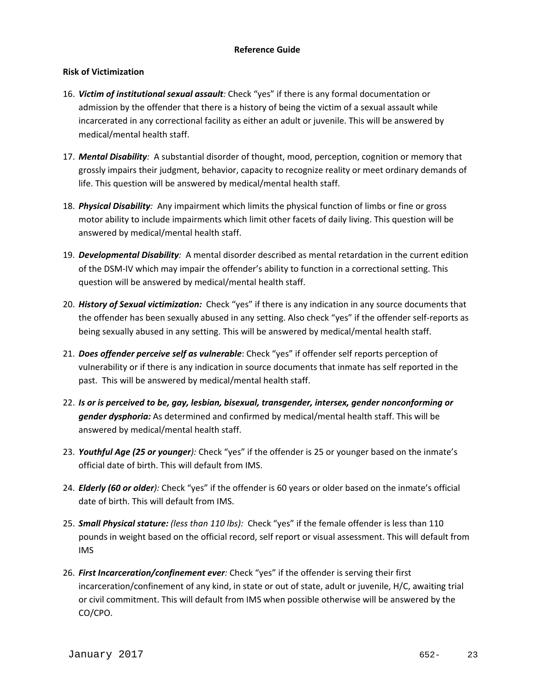## **Risk of Victimization**

- 16. *Victim of institutional sexual assault:* Check "yes" if there is any formal documentation or admission by the offender that there is a history of being the victim of a sexual assault while incarcerated in any correctional facility as either an adult or juvenile. This will be answered by medical/mental health staff.
- 17. *Mental Disability:* A substantial disorder of thought, mood, perception, cognition or memory that grossly impairs their judgment, behavior, capacity to recognize reality or meet ordinary demands of life. This question will be answered by medical/mental health staff.
- 18. *Physical Disability:* Any impairment which limits the physical function of limbs or fine or gross motor ability to include impairments which limit other facets of daily living. This question will be answered by medical/mental health staff.
- 19. *Developmental Disability:* A mental disorder described as mental retardation in the current edition of the DSM‐IV which may impair the offender's ability to function in a correctional setting. This question will be answered by medical/mental health staff.
- 20. *History of Sexual victimization:* Check "yes" if there is any indication in any source documents that the offender has been sexually abused in any setting. Also check "yes" if the offender self‐reports as being sexually abused in any setting. This will be answered by medical/mental health staff.
- 21. *Does offender perceive self as vulnerable*: Check "yes" if offender self reports perception of vulnerability or if there is any indication in source documents that inmate has self reported in the past. This will be answered by medical/mental health staff.
- 22. *Is or is perceived to be, gay, lesbian, bisexual, transgender, intersex, gender nonconforming or gender dysphoria:* As determined and confirmed by medical/mental health staff. This will be answered by medical/mental health staff.
- 23. *Youthful Age (25 or younger):* Check "yes" if the offender is 25 or younger based on the inmate's official date of birth. This will default from IMS.
- 24. *Elderly (60 or older):* Check "yes" if the offender is 60 years or older based on the inmate's official date of birth. This will default from IMS.
- 25. *Small Physical stature: (less than 110 lbs):* Check "yes" if the female offender is less than 110 pounds in weight based on the official record, self report or visual assessment. This will default from IMS
- 26. *First Incarceration/confinement ever:* Check "yes" if the offender is serving their first incarceration/confinement of any kind, in state or out of state, adult or juvenile, H/C, awaiting trial or civil commitment. This will default from IMS when possible otherwise will be answered by the CO/CPO.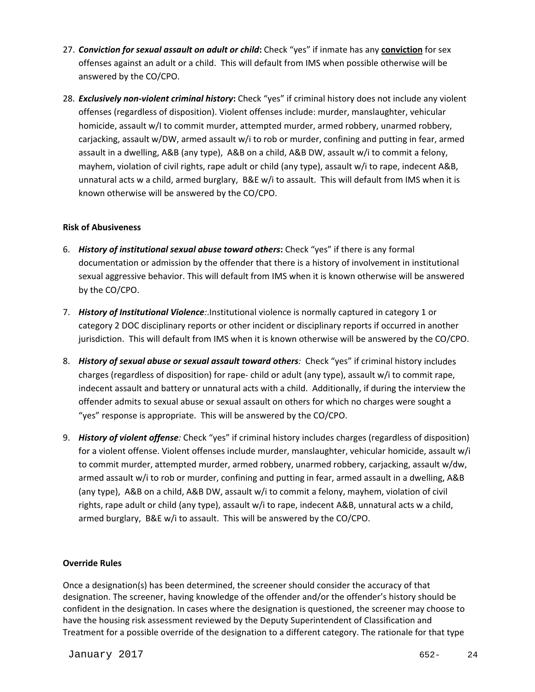- 27. *Conviction for sexual assault on adult or child***:** Check "yes" if inmate has any **conviction** for sex offenses against an adult or a child. This will default from IMS when possible otherwise will be answered by the CO/CPO.
- 28. *Exclusively non***‐***violent criminal history***:** Check "yes" if criminal history does not include any violent offenses (regardless of disposition). Violent offenses include: murder, manslaughter, vehicular homicide, assault w/I to commit murder, attempted murder, armed robbery, unarmed robbery, carjacking, assault w/DW, armed assault w/i to rob or murder, confining and putting in fear, armed assault in a dwelling, A&B (any type), A&B on a child, A&B DW, assault w/i to commit a felony, mayhem, violation of civil rights, rape adult or child (any type), assault w/i to rape, indecent A&B, unnatural acts w a child, armed burglary, B&E w/i to assault. This will default from IMS when it is known otherwise will be answered by the CO/CPO.

## **Risk of Abusiveness**

- 6. *History of institutional sexual abuse toward others***:** Check "yes" if there is any formal documentation or admission by the offender that there is a history of involvement in institutional sexual aggressive behavior. This will default from IMS when it is known otherwise will be answered by the CO/CPO.
- 7. *History of Institutional Violence:*.Institutional violence is normally captured in category 1 or category 2 DOC disciplinary reports or other incident or disciplinary reports if occurred in another jurisdiction. This will default from IMS when it is known otherwise will be answered by the CO/CPO.
- 8. *History of sexual abuse or sexual assault toward others:* Check "yes" if criminal history includes charges (regardless of disposition) for rape‐ child or adult (any type), assault w/i to commit rape, indecent assault and battery or unnatural acts with a child. Additionally, if during the interview the offender admits to sexual abuse or sexual assault on others for which no charges were sought a "yes" response is appropriate. This will be answered by the CO/CPO.
- 9. *History of violent offense:* Check "yes" if criminal history includes charges (regardless of disposition) for a violent offense. Violent offenses include murder, manslaughter, vehicular homicide, assault w/i to commit murder, attempted murder, armed robbery, unarmed robbery, carjacking, assault w/dw, armed assault w/i to rob or murder, confining and putting in fear, armed assault in a dwelling, A&B (any type), A&B on a child, A&B DW, assault w/i to commit a felony, mayhem, violation of civil rights, rape adult or child (any type), assault w/i to rape, indecent A&B, unnatural acts w a child, armed burglary, B&E w/i to assault. This will be answered by the CO/CPO.

# **Override Rules**

Once a designation(s) has been determined, the screener should consider the accuracy of that designation. The screener, having knowledge of the offender and/or the offender's history should be confident in the designation. In cases where the designation is questioned, the screener may choose to have the housing risk assessment reviewed by the Deputy Superintendent of Classification and Treatment for a possible override of the designation to a different category. The rationale for that type